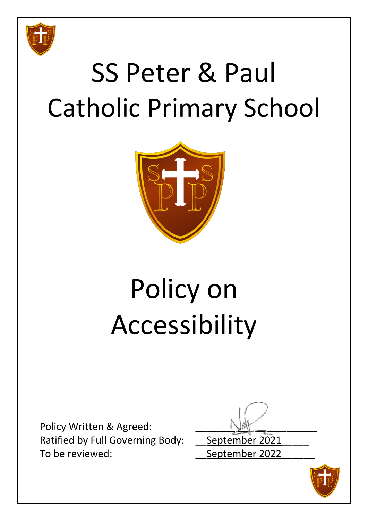

# SS Peter & Paul Catholic Primary School



# Policy on Accessibility

Policy Written & Agreed: Ratified by Full Governing Body: September 2021 To be reviewed: To be reviewed:

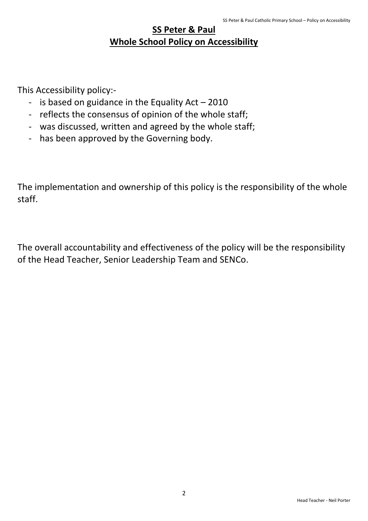### **SS Peter & Paul Whole School Policy on Accessibility**

This Accessibility policy:-

- is based on guidance in the Equality Act  $-2010$
- reflects the consensus of opinion of the whole staff;
- was discussed, written and agreed by the whole staff;
- has been approved by the Governing body.

The implementation and ownership of this policy is the responsibility of the whole staff.

The overall accountability and effectiveness of the policy will be the responsibility of the Head Teacher, Senior Leadership Team and SENCo.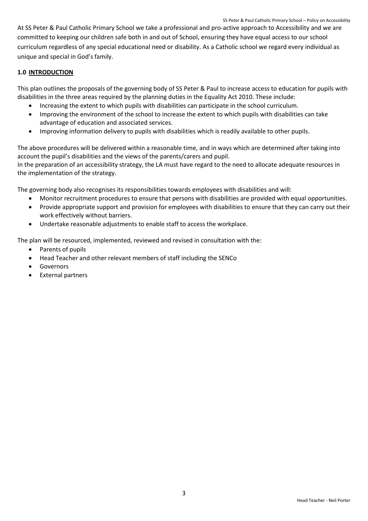At SS Peter & Paul Catholic Primary School we take a professional and pro-active approach to Accessibility and we are committed to keeping our children safe both in and out of School, ensuring they have equal access to our school curriculum regardless of any special educational need or disability. As a Catholic school we regard every individual as unique and special in God's family.

#### **1.0 INTRODUCTION**

This plan outlines the proposals of the governing body of SS Peter & Paul to increase access to education for pupils with disabilities in the three areas required by the planning duties in the Equality Act 2010. These include:

- Increasing the extent to which pupils with disabilities can participate in the school curriculum.
- Improving the environment of the school to increase the extent to which pupils with disabilities can take advantage of education and associated services.
- Improving information delivery to pupils with disabilities which is readily available to other pupils.

The above procedures will be delivered within a reasonable time, and in ways which are determined after taking into account the pupil's disabilities and the views of the parents/carers and pupil.

In the preparation of an accessibility strategy, the LA must have regard to the need to allocate adequate resources in the implementation of the strategy.

The governing body also recognises its responsibilities towards employees with disabilities and will:

- Monitor recruitment procedures to ensure that persons with disabilities are provided with equal opportunities.
- Provide appropriate support and provision for employees with disabilities to ensure that they can carry out their work effectively without barriers.
- Undertake reasonable adjustments to enable staff to access the workplace.

The plan will be resourced, implemented, reviewed and revised in consultation with the:

- Parents of pupils
- Head Teacher and other relevant members of staff including the SENCo
- **•** Governors
- External partners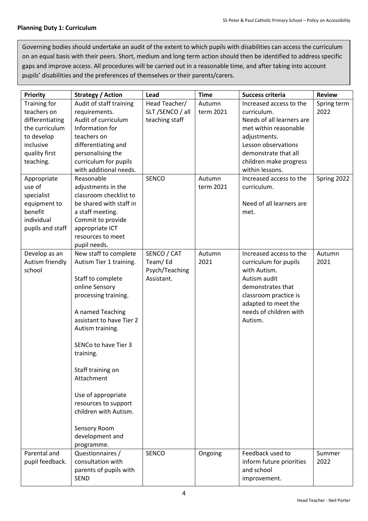#### **Planning Duty 1: Curriculum**

Governing bodies should undertake an audit of the extent to which pupils with disabilities can access the curriculum on an equal basis with their peers. Short, medium and long term action should then be identified to address specific gaps and improve access. All procedures will be carried out in a reasonable time, and after taking into account pupils' disabilities and the preferences of themselves or their parents/carers.

| <b>Priority</b>     | <b>Strategy / Action</b>                      | Lead             | <b>Time</b> | <b>Success criteria</b>   | <b>Review</b> |
|---------------------|-----------------------------------------------|------------------|-------------|---------------------------|---------------|
| <b>Training for</b> | Audit of staff training                       | Head Teacher/    | Autumn      | Increased access to the   | Spring term   |
| teachers on         | requirements.                                 | SLT /SENCO / all | term 2021   | curriculum.               | 2022          |
| differentiating     | Audit of curriculum                           | teaching staff   |             | Needs of all learners are |               |
| the curriculum      | Information for                               |                  |             | met within reasonable     |               |
| to develop          | teachers on                                   |                  |             | adjustments.              |               |
| inclusive           | differentiating and                           |                  |             | Lesson observations       |               |
| quality first       | personalising the                             |                  |             | demonstrate that all      |               |
| teaching.           | curriculum for pupils                         |                  |             | children make progress    |               |
|                     | with additional needs.                        |                  |             | within lessons.           |               |
| Appropriate         | Reasonable                                    | <b>SENCO</b>     | Autumn      | Increased access to the   | Spring 2022   |
| use of              | adjustments in the                            |                  | term 2021   | curriculum.               |               |
| specialist          | classroom checklist to                        |                  |             |                           |               |
| equipment to        | be shared with staff in                       |                  |             | Need of all learners are  |               |
| benefit             | a staff meeting.                              |                  |             | met.                      |               |
| individual          | Commit to provide                             |                  |             |                           |               |
| pupils and staff    | appropriate ICT                               |                  |             |                           |               |
|                     | resources to meet                             |                  |             |                           |               |
|                     | pupil needs.                                  |                  |             |                           |               |
| Develop as an       | New staff to complete                         | SENCO / CAT      | Autumn      | Increased access to the   | Autumn        |
| Autism friendly     | Autism Tier 1 training.                       | Team/Ed          | 2021        | curriculum for pupils     | 2021          |
| school              |                                               | Psych/Teaching   |             | with Autism.              |               |
|                     | Staff to complete                             | Assistant.       |             | Autism audit              |               |
|                     | online Sensory                                |                  |             | demonstrates that         |               |
|                     | processing training.                          |                  |             | classroom practice is     |               |
|                     |                                               |                  |             | adapted to meet the       |               |
|                     | A named Teaching                              |                  |             | needs of children with    |               |
|                     | assistant to have Tier 2                      |                  |             | Autism.                   |               |
|                     | Autism training.                              |                  |             |                           |               |
|                     |                                               |                  |             |                           |               |
|                     | SENCo to have Tier 3                          |                  |             |                           |               |
|                     | training.                                     |                  |             |                           |               |
|                     |                                               |                  |             |                           |               |
|                     | Staff training on                             |                  |             |                           |               |
|                     | Attachment                                    |                  |             |                           |               |
|                     |                                               |                  |             |                           |               |
|                     | Use of appropriate                            |                  |             |                           |               |
|                     | resources to support<br>children with Autism. |                  |             |                           |               |
|                     |                                               |                  |             |                           |               |
|                     | Sensory Room                                  |                  |             |                           |               |
|                     | development and                               |                  |             |                           |               |
|                     | programme.                                    |                  |             |                           |               |
| Parental and        | Questionnaires /                              | SENCO            | Ongoing     | Feedback used to          | Summer        |
| pupil feedback.     | consultation with                             |                  |             | inform future priorities  | 2022          |
|                     | parents of pupils with                        |                  |             | and school                |               |
|                     | <b>SEND</b>                                   |                  |             | improvement.              |               |
|                     |                                               |                  |             |                           |               |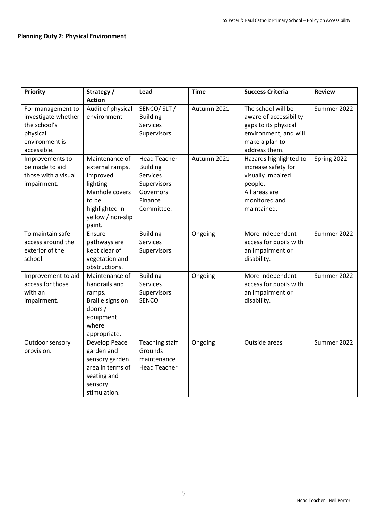| <b>Priority</b>     | Strategy /        | Lead                  | <b>Time</b> | <b>Success Criteria</b> | <b>Review</b> |
|---------------------|-------------------|-----------------------|-------------|-------------------------|---------------|
|                     | <b>Action</b>     |                       |             |                         |               |
| For management to   | Audit of physical | SENCO/SLT/            | Autumn 2021 | The school will be      | Summer 2022   |
| investigate whether | environment       | <b>Building</b>       |             | aware of accessibility  |               |
| the school's        |                   | <b>Services</b>       |             | gaps to its physical    |               |
| physical            |                   | Supervisors.          |             | environment, and will   |               |
| environment is      |                   |                       |             | make a plan to          |               |
| accessible.         |                   |                       |             | address them.           |               |
| Improvements to     | Maintenance of    | <b>Head Teacher</b>   | Autumn 2021 | Hazards highlighted to  | Spring 2022   |
| be made to aid      | external ramps.   | <b>Building</b>       |             | increase safety for     |               |
| those with a visual | Improved          | <b>Services</b>       |             | visually impaired       |               |
| impairment.         | lighting          | Supervisors.          |             | people.                 |               |
|                     | Manhole covers    | Governors             |             | All areas are           |               |
|                     | to be             | Finance               |             | monitored and           |               |
|                     | highlighted in    | Committee.            |             | maintained.             |               |
|                     | yellow / non-slip |                       |             |                         |               |
|                     | paint.            |                       |             |                         |               |
| To maintain safe    | Ensure            | <b>Building</b>       | Ongoing     | More independent        | Summer 2022   |
| access around the   | pathways are      | <b>Services</b>       |             | access for pupils with  |               |
| exterior of the     | kept clear of     | Supervisors.          |             | an impairment or        |               |
| school.             | vegetation and    |                       |             | disability.             |               |
|                     | obstructions.     |                       |             |                         |               |
| Improvement to aid  | Maintenance of    | <b>Building</b>       | Ongoing     | More independent        | Summer 2022   |
| access for those    | handrails and     | <b>Services</b>       |             | access for pupils with  |               |
| with an             | ramps.            | Supervisors.          |             | an impairment or        |               |
| impairment.         | Braille signs on  | <b>SENCO</b>          |             | disability.             |               |
|                     | doors/            |                       |             |                         |               |
|                     | equipment         |                       |             |                         |               |
|                     | where             |                       |             |                         |               |
|                     | appropriate.      |                       |             |                         |               |
| Outdoor sensory     | Develop Peace     | <b>Teaching staff</b> | Ongoing     | Outside areas           | Summer 2022   |
| provision.          | garden and        | Grounds               |             |                         |               |
|                     | sensory garden    | maintenance           |             |                         |               |
|                     | area in terms of  | <b>Head Teacher</b>   |             |                         |               |
|                     | seating and       |                       |             |                         |               |
|                     | sensory           |                       |             |                         |               |
|                     | stimulation.      |                       |             |                         |               |